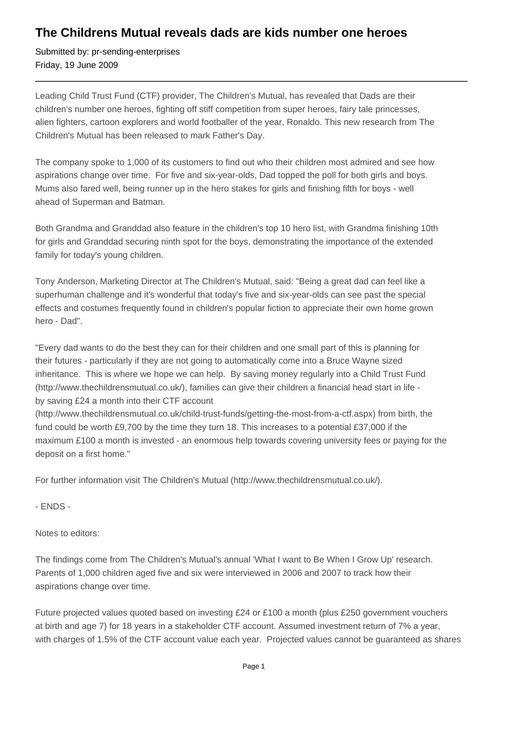## **The Childrens Mutual reveals dads are kids number one heroes**

Submitted by: pr-sending-enterprises Friday, 19 June 2009

Leading Child Trust Fund (CTF) provider, The Children's Mutual, has revealed that Dads are their children's number one heroes, fighting off stiff competition from super heroes, fairy tale princesses, alien fighters, cartoon explorers and world footballer of the year, Ronaldo. This new research from The Children's Mutual has been released to mark Father's Day.

The company spoke to 1,000 of its customers to find out who their children most admired and see how aspirations change over time. For five and six-year-olds, Dad topped the poll for both girls and boys. Mums also fared well, being runner up in the hero stakes for girls and finishing fifth for boys - well ahead of Superman and Batman.

Both Grandma and Granddad also feature in the children's top 10 hero list, with Grandma finishing 10th for girls and Granddad securing ninth spot for the boys, demonstrating the importance of the extended family for today's young children.

Tony Anderson, Marketing Director at The Children's Mutual, said: "Being a great dad can feel like a superhuman challenge and it's wonderful that today's five and six-year-olds can see past the special effects and costumes frequently found in children's popular fiction to appreciate their own home grown hero - Dad".

"Every dad wants to do the best they can for their children and one small part of this is planning for their futures - particularly if they are not going to automatically come into a Bruce Wayne sized inheritance. This is where we hope we can help. By saving money regularly into a Child Trust Fund (http://www.thechildrensmutual.co.uk/), families can give their children a financial head start in life by saving £24 a month into their CTF account

(http://www.thechildrensmutual.co.uk/child-trust-funds/getting-the-most-from-a-ctf.aspx) from birth, the fund could be worth £9,700 by the time they turn 18. This increases to a potential £37,000 if the maximum £100 a month is invested - an enormous help towards covering university fees or paying for the deposit on a first home."

For further information visit The Children's Mutual (http://www.thechildrensmutual.co.uk/).

- ENDS -

Notes to editors:

The findings come from The Children's Mutual's annual 'What I want to Be When I Grow Up' research. Parents of 1,000 children aged five and six were interviewed in 2006 and 2007 to track how their aspirations change over time.

Future projected values quoted based on investing £24 or £100 a month (plus £250 government vouchers at birth and age 7) for 18 years in a stakeholder CTF account. Assumed investment return of 7% a year, with charges of 1.5% of the CTF account value each year. Projected values cannot be guaranteed as shares